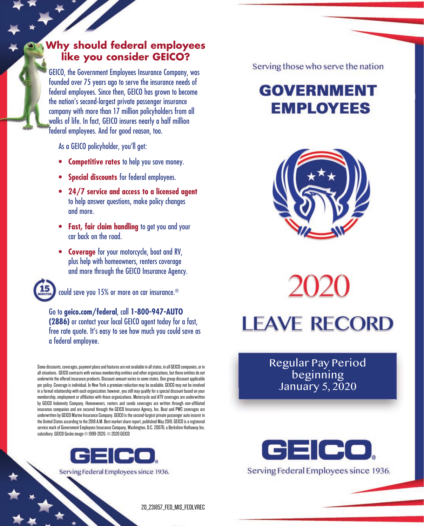## **Why should federal employees like you consider GEICO?**

GEICO, the Government Employees Insurance Company, was founded over 75 years ago to serve the insurance needs of federal employees. Since then, GEICO has grown to become the nation's second-largest private passenger insurance company with more than 17 million policyholders from all walks of life. In fact, GEICO insures nearly a half million federal employees. And for good reason, too.

As a GEICO policyholder, you'll get:

- **Competitive rates** to help you save money.
- **Special discounts** for federal employees.
- **24/7 service and access to a licensed agent** to help answer questions, make policy changes and more.
- **Fast, fair claim handling** to get you and your car back on the road.
- **Coverage** for your motorcycle, boat and RV, plus help with homeowners, renters coverage and more through the GEICO Insurance Agency.



could save you 15% or more on car insurance.®

Go to **geico.com/federal**, call **1-800-947-AUTO (2886)** or contact your local GEICO agent today for a fast, free rate quote. It's easy to see how much you could save as a federal employee.

Some discounts, coverages, payment plans and features are not available in all states, in all GEICO companies, or in all situations. GEICO contracts with various membership entities and other organizations, but these entities do not underwrite the offered insurance products. Discount amount varies in some states. One group discount applicable per policy. Coverage is individual. In New York a premium reduction may be available. GEICO may not be involved in a formal relationship with each organization; however, you still may qualify for a special discount based on your membership, employment or affiliation with those organizations. Motorcycle and ATV coverages are underwritten by GEICO Indemnity Company. Homeowners, renters and condo coverages are written through non-affiliated insurance companies and are secured through the GEICO Insurance Agency, Inc. Boat and PWC coverages are underwritten by GEICO Marine Insurance Company. GEICO is the second-largest private passenger auto insurer in the United States according to the 2018 A.M. Best market share report, published May 2019. GEICO is a registered service mark of Government Employees Insurance Company, Washington, D.C. 20076; a Berkshire Hathaway Inc. subsidiary. GEICO Gecko image © 1999-2020. © 2020 GEICO



Serving Federal Employees since 1936.

Serving those who serve the nation

## **GOVERNMENT EMPLOYEES**



**LEAVE RECORD** 

Regular Pay Period beginning January 5, 2020



20\_231857\_FED\_MIS\_FEDLVREC